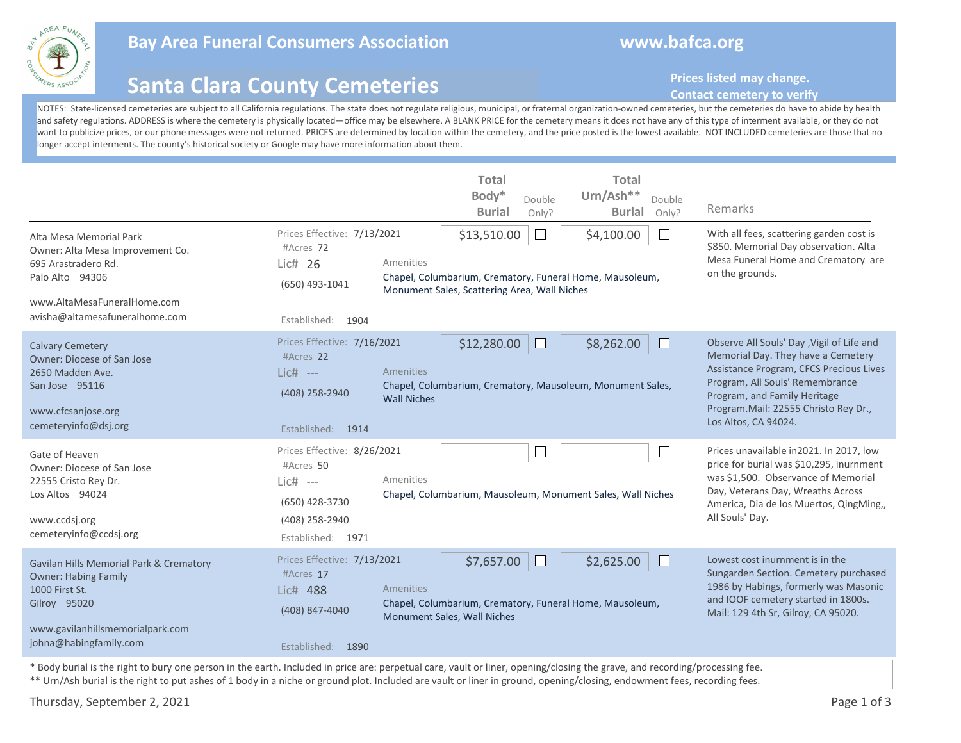

## **Bay Area Funeral Consumers Association www.bafca.org**

## **Santa Clara County Cemeteries**

**Prices listed may change.** 

## **Contact cemetery to verify**

NOTES: State-licensed cemeteries are subject to all California regulations. The state does not regulate religious, municipal, or fraternal organization-owned cemeteries, but the cemeteries do have to abide by health and safety regulations. ADDRESS is where the cemetery is physically located—office may be elsewhere. A BLANK PRICE for the cemetery means it does not have any of this type of interment available, or they do not want to publicize prices, or our phone messages were not returned. PRICES are determined by location within the cemetery, and the price posted is the lowest available. NOT INCLUDED cemeteries are those that no longer accept interments. The county's historical society or Google may have more information about them.

| Alta Mesa Memorial Park<br>Owner: Alta Mesa Improvement Co.<br>695 Arastradero Rd.<br>Palo Alto 94306<br>www.AltaMesaFuneralHome.com<br>avisha@altamesafuneralhome.com                                                                                                                                                                                | Prices Effective: 7/13/2021<br>#Acres 72<br>Lic# 26<br>(650) 493-1041<br>Established: 1904                      | Amenities                              | <b>Total</b><br>Body*<br><b>Burial</b><br>\$13,510.00<br>Monument Sales, Scattering Area, Wall Niches | Double<br>Only?<br>$\Box$ | <b>Total</b><br>Urn/Ash**<br>Double<br><b>Burlal</b><br>Only?<br>\$4,100.00<br>Chapel, Columbarium, Crematory, Funeral Home, Mausoleum, | Remarks<br>With all fees, scattering garden cost is<br>\$850. Memorial Day observation. Alta<br>Mesa Funeral Home and Crematory are<br>on the grounds.                                                                                                        |
|-------------------------------------------------------------------------------------------------------------------------------------------------------------------------------------------------------------------------------------------------------------------------------------------------------------------------------------------------------|-----------------------------------------------------------------------------------------------------------------|----------------------------------------|-------------------------------------------------------------------------------------------------------|---------------------------|-----------------------------------------------------------------------------------------------------------------------------------------|---------------------------------------------------------------------------------------------------------------------------------------------------------------------------------------------------------------------------------------------------------------|
| <b>Calvary Cemetery</b><br>Owner: Diocese of San Jose<br>2650 Madden Ave.<br>San Jose 95116<br>www.cfcsanjose.org<br>cemeteryinfo@dsj.org                                                                                                                                                                                                             | Prices Effective: 7/16/2021<br>#Acres 22<br>Lic# ---<br>(408) 258-2940<br>Established: 1914                     | <b>Amenities</b><br><b>Wall Niches</b> | \$12,280.00                                                                                           |                           | \$8,262.00<br>Chapel, Columbarium, Crematory, Mausoleum, Monument Sales,                                                                | Observe All Souls' Day, Vigil of Life and<br>Memorial Day. They have a Cemetery<br>Assistance Program, CFCS Precious Lives<br>Program, All Souls' Remembrance<br>Program, and Family Heritage<br>Program.Mail: 22555 Christo Rey Dr.,<br>Los Altos, CA 94024. |
| Gate of Heaven<br>Owner: Diocese of San Jose<br>22555 Cristo Rey Dr.<br>Los Altos 94024<br>www.ccdsj.org<br>cemeteryinfo@ccdsj.org                                                                                                                                                                                                                    | Prices Effective: 8/26/2021<br>#Acres 50<br>$Lie#$ ---<br>(650) 428-3730<br>(408) 258-2940<br>Established: 1971 | Amenities                              |                                                                                                       | $\mathbb{Z}$              | $\overline{\phantom{a}}$<br>Chapel, Columbarium, Mausoleum, Monument Sales, Wall Niches                                                 | Prices unavailable in 2021. In 2017, low<br>price for burial was \$10,295, inurnment<br>was \$1,500. Observance of Memorial<br>Day, Veterans Day, Wreaths Across<br>America, Dia de los Muertos, QingMing,,<br>All Souls' Day.                                |
| Gavilan Hills Memorial Park & Crematory<br><b>Owner: Habing Family</b><br>1000 First St.<br>Gilroy 95020<br>www.gavilanhillsmemorialpark.com<br>johna@habingfamily.com<br>* Body burial is the right to bury one person in the earth. Included in price are: perpetual care, vault or liner, opening/closing the grave, and recording/processing fee. | Prices Effective: 7/13/2021<br>#Acres 17<br>Lic# 488<br>(408) 847-4040<br>Established: 1890                     | Amenities                              | \$7,657.00<br>Monument Sales, Wall Niches                                                             | $\overline{\phantom{a}}$  | \$2,625.00<br>Chapel, Columbarium, Crematory, Funeral Home, Mausoleum,                                                                  | Lowest cost inurnment is in the<br>Sungarden Section. Cemetery purchased<br>1986 by Habings, formerly was Masonic<br>and IOOF cemetery started in 1800s.<br>Mail: 129 4th Sr, Gilroy, CA 95020.                                                               |

\*\* Urn/Ash burial is the right to put ashes of 1 body in a niche or ground plot. Included are vault or liner in ground, opening/closing, endowment fees, recording fees.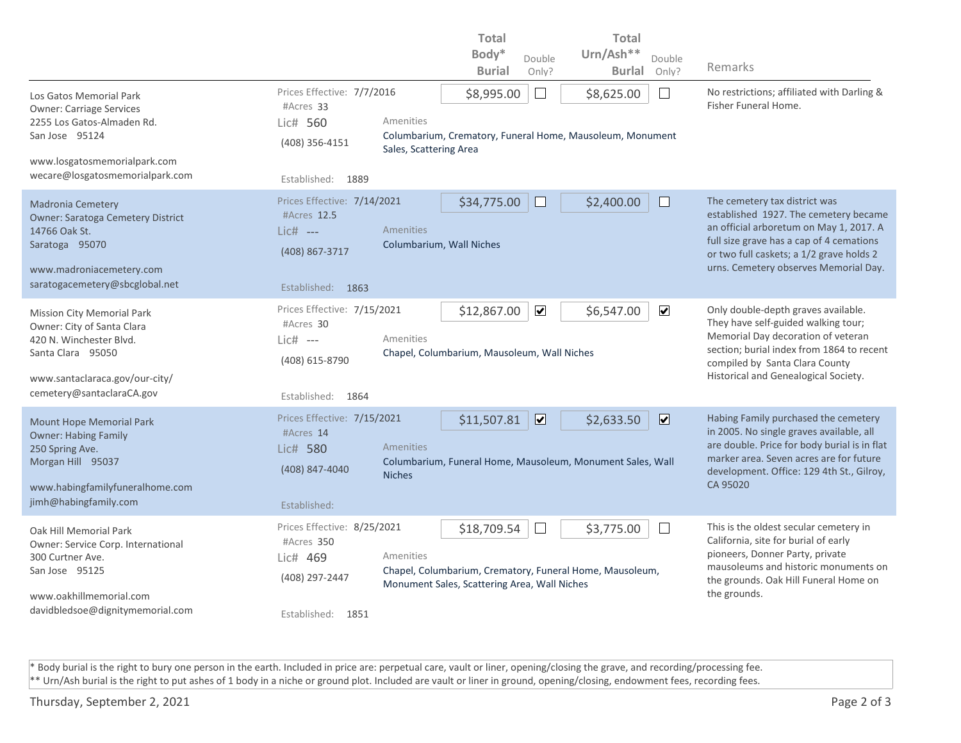|                                                                                                                                                                                |                                                                                                 |                                     | <b>Total</b>                                                |                         | <b>Total</b>                                                                                        |                                                                                                                                                                                                                                                    |  |
|--------------------------------------------------------------------------------------------------------------------------------------------------------------------------------|-------------------------------------------------------------------------------------------------|-------------------------------------|-------------------------------------------------------------|-------------------------|-----------------------------------------------------------------------------------------------------|----------------------------------------------------------------------------------------------------------------------------------------------------------------------------------------------------------------------------------------------------|--|
|                                                                                                                                                                                |                                                                                                 |                                     | Body*                                                       | Double                  | Urn/Ash**<br>Double                                                                                 |                                                                                                                                                                                                                                                    |  |
|                                                                                                                                                                                |                                                                                                 |                                     | <b>Burial</b>                                               | Only?                   | <b>Burlal</b><br>Only?                                                                              | Remarks                                                                                                                                                                                                                                            |  |
| Los Gatos Memorial Park<br><b>Owner: Carriage Services</b><br>2255 Los Gatos-Almaden Rd.<br>San Jose 95124<br>www.losgatosmemorialpark.com                                     | Prices Effective: 7/7/2016<br>#Acres 33<br>Lic# 560<br>(408) 356-4151                           | Amenities<br>Sales, Scattering Area | \$8,995.00                                                  | $\mathbf{L}$            | \$8,625.00<br>$\perp$<br>Columbarium, Crematory, Funeral Home, Mausoleum, Monument                  | No restrictions; affiliated with Darling &<br>Fisher Funeral Home.                                                                                                                                                                                 |  |
| wecare@losgatosmemorialpark.com                                                                                                                                                | Established:<br>1889                                                                            |                                     |                                                             |                         |                                                                                                     |                                                                                                                                                                                                                                                    |  |
| <b>Madronia Cemetery</b><br>Owner: Saratoga Cemetery District<br>14766 Oak St.<br>Saratoga 95070<br>www.madroniacemetery.com<br>saratogacemetery@sbcglobal.net                 | Prices Effective: 7/14/2021<br>#Acres 12.5<br>$Lic#$ ---<br>(408) 867-3717<br>Established: 1863 | Amenities                           | \$34,775.00<br>Columbarium, Wall Niches                     |                         | \$2,400.00<br>$\Box$                                                                                | The cemetery tax district was<br>established 1927. The cemetery became<br>an official arboretum on May 1, 2017. A<br>full size grave has a cap of 4 cemations<br>or two full caskets; a 1/2 grave holds 2<br>urns. Cemetery observes Memorial Day. |  |
| <b>Mission City Memorial Park</b><br>Owner: City of Santa Clara<br>420 N. Winchester Blvd.<br>Santa Clara 95050<br>www.santaclaraca.gov/our-city/<br>cemetery@santaclaraCA.gov | Prices Effective: 7/15/2021<br>#Acres 30<br>$Lie#$ ---<br>(408) 615-8790<br>Established: 1864   | Amenities                           | \$12,867.00<br>Chapel, Columbarium, Mausoleum, Wall Niches  | $\blacktriangledown$    | $\blacktriangledown$<br>\$6,547.00                                                                  | Only double-depth graves available.<br>They have self-guided walking tour;<br>Memorial Day decoration of veteran<br>section; burial index from 1864 to recent<br>compiled by Santa Clara County<br>Historical and Genealogical Society.            |  |
| <b>Mount Hope Memorial Park</b><br><b>Owner: Habing Family</b><br>250 Spring Ave.<br>Morgan Hill 95037<br>www.habingfamilyfuneralhome.com<br>jimh@habingfamily.com             | Prices Effective: 7/15/2021<br>#Acres 14<br>Lic# 580<br>(408) 847-4040<br>Established:          | Amenities<br><b>Niches</b>          | \$11,507.81                                                 | $\overline{\mathbf{z}}$ | $\overline{\mathbf{v}}$<br>\$2,633.50<br>Columbarium, Funeral Home, Mausoleum, Monument Sales, Wall | Habing Family purchased the cemetery<br>in 2005. No single graves available, all<br>are double. Price for body burial is in flat<br>marker area. Seven acres are for future<br>development. Office: 129 4th St., Gilroy,<br>CA 95020               |  |
| Oak Hill Memorial Park<br>Owner: Service Corp. International<br>300 Curtner Ave.<br>San Jose 95125<br>www.oakhillmemorial.com<br>davidbledsoe@dignitymemorial.com              | Prices Effective: 8/25/2021<br>#Acres 350<br>Lic# 469<br>(408) 297-2447<br>Established: 1851    | Amenities                           | \$18,709.54<br>Monument Sales, Scattering Area, Wall Niches |                         | \$3,775.00<br>$\mathbf{I}$<br>Chapel, Columbarium, Crematory, Funeral Home, Mausoleum,              | This is the oldest secular cemetery in<br>California, site for burial of early<br>pioneers, Donner Party, private<br>mausoleums and historic monuments on<br>the grounds. Oak Hill Funeral Home on<br>the grounds.                                 |  |

\* Body burial is the right to bury one person in the earth. Included in price are: perpetual care, vault or liner, opening/closing the grave, and recording/processing fee. \*\* Urn/Ash burial is the right to put ashes of 1 body in a niche or ground plot. Included are vault or liner in ground, opening/closing, endowment fees, recording fees.